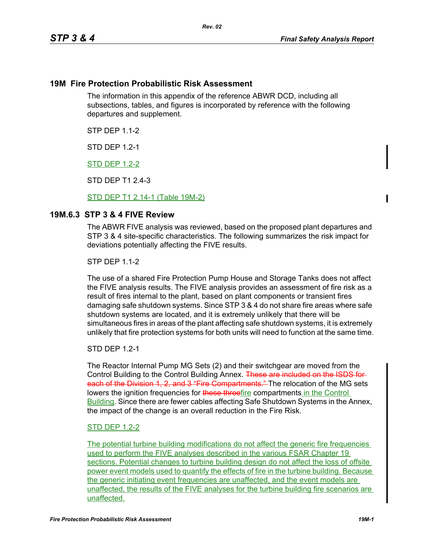## **19M Fire Protection Probabilistic Risk Assessment**

The information in this appendix of the reference ABWR DCD, including all subsections, tables, and figures is incorporated by reference with the following departures and supplement.

**STP DFP 1 1-2** 

**STD DFP 12-1** 

STD DEP 1.2-2

STD DEP T1 2.4-3

STD DEP T1 2.14-1 (Table 19M-2)

#### **19M.6.3 STP 3 & 4 FIVE Review**

The ABWR FIVE analysis was reviewed, based on the proposed plant departures and STP 3 & 4 site-specific characteristics. The following summarizes the risk impact for deviations potentially affecting the FIVE results.

**STP DFP 1 1-2** 

The use of a shared Fire Protection Pump House and Storage Tanks does not affect the FIVE analysis results. The FIVE analysis provides an assessment of fire risk as a result of fires internal to the plant, based on plant components or transient fires damaging safe shutdown systems. Since STP 3 & 4 do not share fire areas where safe shutdown systems are located, and it is extremely unlikely that there will be simultaneous fires in areas of the plant affecting safe shutdown systems, it is extremely unlikely that fire protection systems for both units will need to function at the same time.

 $STD$  DFP 12-1

The Reactor Internal Pump MG Sets (2) and their switchgear are moved from the Control Building to the Control Building Annex. These are included on the ISDS for each of the Division 1, 2, and 3 "Fire Compartments." The relocation of the MG sets lowers the ignition frequencies for these threefire compartments in the Control Building. Since there are fewer cables affecting Safe Shutdown Systems in the Annex, the impact of the change is an overall reduction in the Fire Risk.

#### STD DEP 1.2-2

The potential turbine building modifications do not affect the generic fire frequencies used to perform the FIVE analyses described in the various FSAR Chapter 19 sections. Potential changes to turbine building design do not affect the loss of offsite power event models used to quantify the effects of fire in the turbine building. Because the generic initiating event frequencies are unaffected, and the event models are unaffected, the results of the FIVE analyses for the turbine building fire scenarios are unaffected.

 $\blacksquare$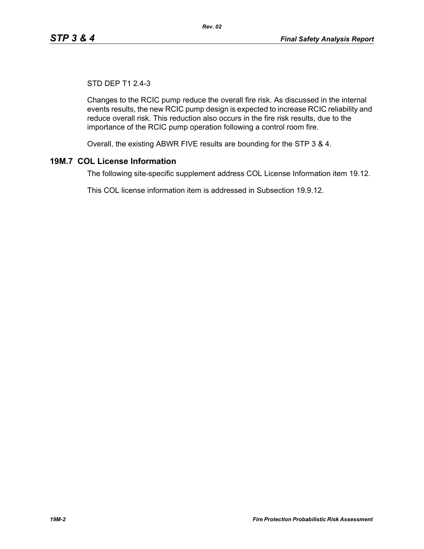# STD DEP T1 2.4-3

Changes to the RCIC pump reduce the overall fire risk. As discussed in the internal events results, the new RCIC pump design is expected to increase RCIC reliability and reduce overall risk. This reduction also occurs in the fire risk results, due to the importance of the RCIC pump operation following a control room fire.

Overall, the existing ABWR FIVE results are bounding for the STP 3 & 4.

# **19M.7 COL License Information**

The following site-specific supplement address COL License Information item 19.12.

This COL license information item is addressed in Subsection 19.9.12.